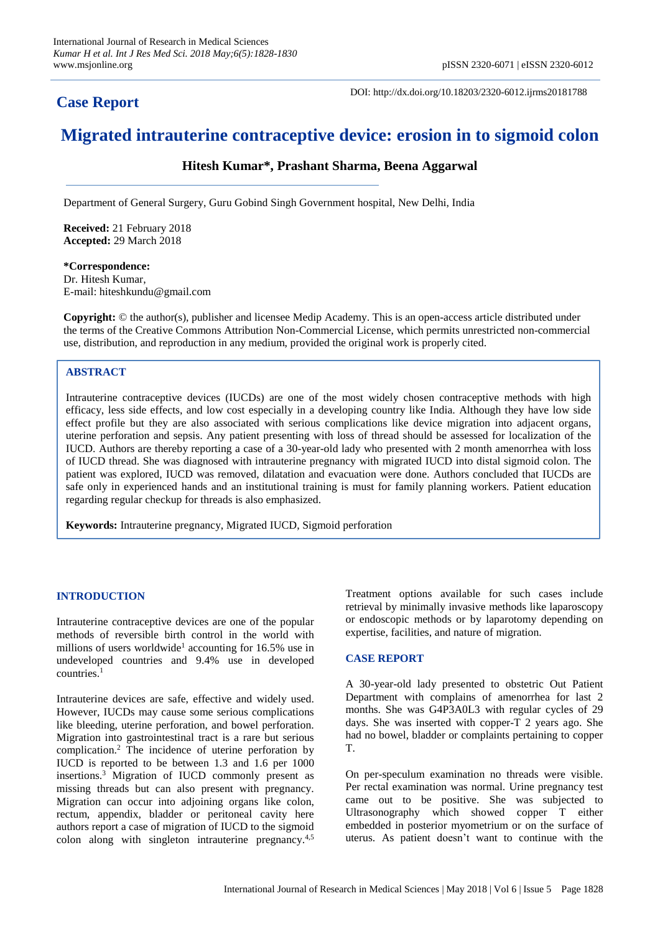# **Case Report**

DOI: http://dx.doi.org/10.18203/2320-6012.ijrms20181788

# **Migrated intrauterine contraceptive device: erosion in to sigmoid colon**

## **Hitesh Kumar\*, Prashant Sharma, Beena Aggarwal**

Department of General Surgery, Guru Gobind Singh Government hospital, New Delhi, India

**Received:** 21 February 2018 **Accepted:** 29 March 2018

**\*Correspondence:** Dr. Hitesh Kumar, E-mail: hiteshkundu@gmail.com

**Copyright:** © the author(s), publisher and licensee Medip Academy. This is an open-access article distributed under the terms of the Creative Commons Attribution Non-Commercial License, which permits unrestricted non-commercial use, distribution, and reproduction in any medium, provided the original work is properly cited.

### **ABSTRACT**

Intrauterine contraceptive devices (IUCDs) are one of the most widely chosen contraceptive methods with high efficacy, less side effects, and low cost especially in a developing country like India. Although they have low side effect profile but they are also associated with serious complications like device migration into adjacent organs, uterine perforation and sepsis. Any patient presenting with loss of thread should be assessed for localization of the IUCD. Authors are thereby reporting a case of a 30-year-old lady who presented with 2 month amenorrhea with loss of IUCD thread. She was diagnosed with intrauterine pregnancy with migrated IUCD into distal sigmoid colon. The patient was explored, IUCD was removed, dilatation and evacuation were done. Authors concluded that IUCDs are safe only in experienced hands and an institutional training is must for family planning workers. Patient education regarding regular checkup for threads is also emphasized.

**Keywords:** Intrauterine pregnancy, Migrated IUCD, Sigmoid perforation

#### **INTRODUCTION**

Intrauterine contraceptive devices are one of the popular methods of reversible birth control in the world with millions of users worldwide<sup>1</sup> accounting for 16.5% use in undeveloped countries and 9.4% use in developed countries.<sup>1</sup>

Intrauterine devices are safe, effective and widely used. However, IUCDs may cause some serious complications like bleeding, uterine perforation, and bowel perforation. Migration into gastrointestinal tract is a rare but serious complication.<sup>2</sup> The incidence of uterine perforation by IUCD is reported to be between 1.3 and 1.6 per 1000 insertions. <sup>3</sup> Migration of IUCD commonly present as missing threads but can also present with pregnancy. Migration can occur into adjoining organs like colon, rectum, appendix, bladder or peritoneal cavity here authors report a case of migration of IUCD to the sigmoid colon along with singleton intrauterine pregnancy.<sup>4,5</sup>

Treatment options available for such cases include retrieval by minimally invasive methods like laparoscopy or endoscopic methods or by laparotomy depending on expertise, facilities, and nature of migration.

#### **CASE REPORT**

A 30-year-old lady presented to obstetric Out Patient Department with complains of amenorrhea for last 2 months. She was G4P3A0L3 with regular cycles of 29 days. She was inserted with copper-T 2 years ago. She had no bowel, bladder or complaints pertaining to copper T.

On per-speculum examination no threads were visible. Per rectal examination was normal. Urine pregnancy test came out to be positive. She was subjected to Ultrasonography which showed copper T either embedded in posterior myometrium or on the surface of uterus. As patient doesn't want to continue with the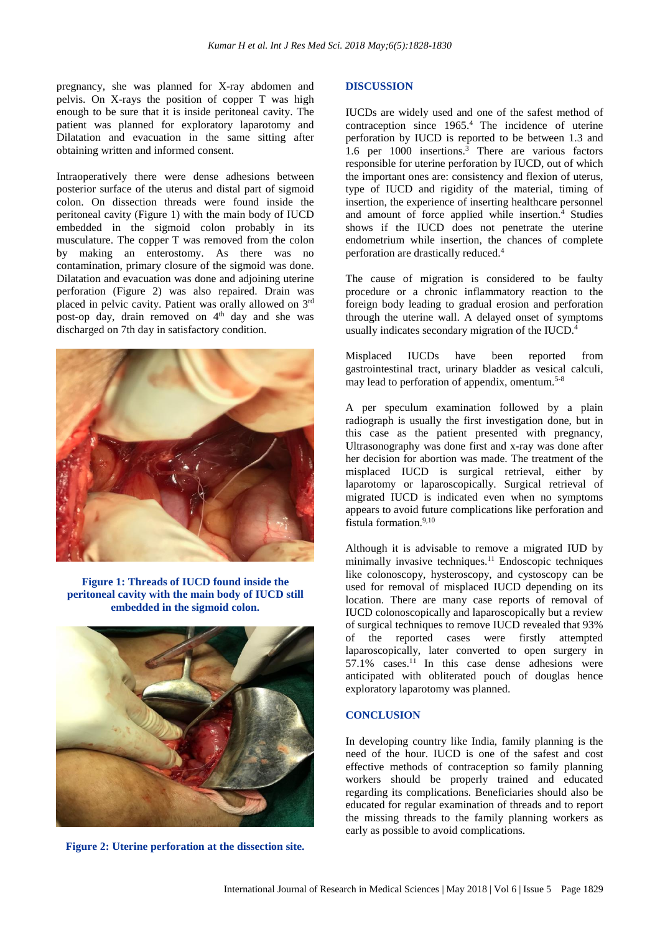pregnancy, she was planned for X-ray abdomen and pelvis. On X-rays the position of copper T was high enough to be sure that it is inside peritoneal cavity. The patient was planned for exploratory laparotomy and Dilatation and evacuation in the same sitting after obtaining written and informed consent.

Intraoperatively there were dense adhesions between posterior surface of the uterus and distal part of sigmoid colon. On dissection threads were found inside the peritoneal cavity (Figure 1) with the main body of IUCD embedded in the sigmoid colon probably in its musculature. The copper T was removed from the colon by making an enterostomy. As there was no contamination, primary closure of the sigmoid was done. Dilatation and evacuation was done and adjoining uterine perforation (Figure 2) was also repaired. Drain was placed in pelvic cavity. Patient was orally allowed on 3rd post-op day, drain removed on 4<sup>th</sup> day and she was discharged on 7th day in satisfactory condition.



**Figure 1: Threads of IUCD found inside the peritoneal cavity with the main body of IUCD still embedded in the sigmoid colon.**



**Figure 2: Uterine perforation at the dissection site.**

#### **DISCUSSION**

IUCDs are widely used and one of the safest method of contraception since 1965.<sup>4</sup> The incidence of uterine perforation by IUCD is reported to be between 1.3 and 1.6 per  $1000$  insertions.<sup>3</sup> There are various factors responsible for uterine perforation by IUCD, out of which the important ones are: consistency and flexion of uterus, type of IUCD and rigidity of the material, timing of insertion, the experience of inserting healthcare personnel and amount of force applied while insertion.<sup>4</sup> Studies shows if the IUCD does not penetrate the uterine endometrium while insertion, the chances of complete perforation are drastically reduced.<sup>4</sup>

The cause of migration is considered to be faulty procedure or a chronic inflammatory reaction to the foreign body leading to gradual erosion and perforation through the uterine wall. A delayed onset of symptoms usually indicates secondary migration of the IUCD.<sup>4</sup>

Misplaced IUCDs have been reported from gastrointestinal tract, urinary bladder as vesical calculi, may lead to perforation of appendix, omentum.5-8

A per speculum examination followed by a plain radiograph is usually the first investigation done, but in this case as the patient presented with pregnancy, Ultrasonography was done first and x-ray was done after her decision for abortion was made. The treatment of the misplaced IUCD is surgical retrieval, either by laparotomy or laparoscopically. Surgical retrieval of migrated IUCD is indicated even when no symptoms appears to avoid future complications like perforation and fistula formation.<sup>9,10</sup>

Although it is advisable to remove a migrated IUD by minimally invasive techniques.<sup>11</sup> Endoscopic techniques like colonoscopy, hysteroscopy, and cystoscopy can be used for removal of misplaced IUCD depending on its location. There are many case reports of removal of IUCD colonoscopically and laparoscopically but a review of surgical techniques to remove IUCD revealed that 93% of the reported cases were firstly attempted laparoscopically, later converted to open surgery in  $57.1\%$  cases.<sup>11</sup> In this case dense adhesions were anticipated with obliterated pouch of douglas hence exploratory laparotomy was planned.

#### **CONCLUSION**

In developing country like India, family planning is the need of the hour. IUCD is one of the safest and cost effective methods of contraception so family planning workers should be properly trained and educated regarding its complications. Beneficiaries should also be educated for regular examination of threads and to report the missing threads to the family planning workers as early as possible to avoid complications.